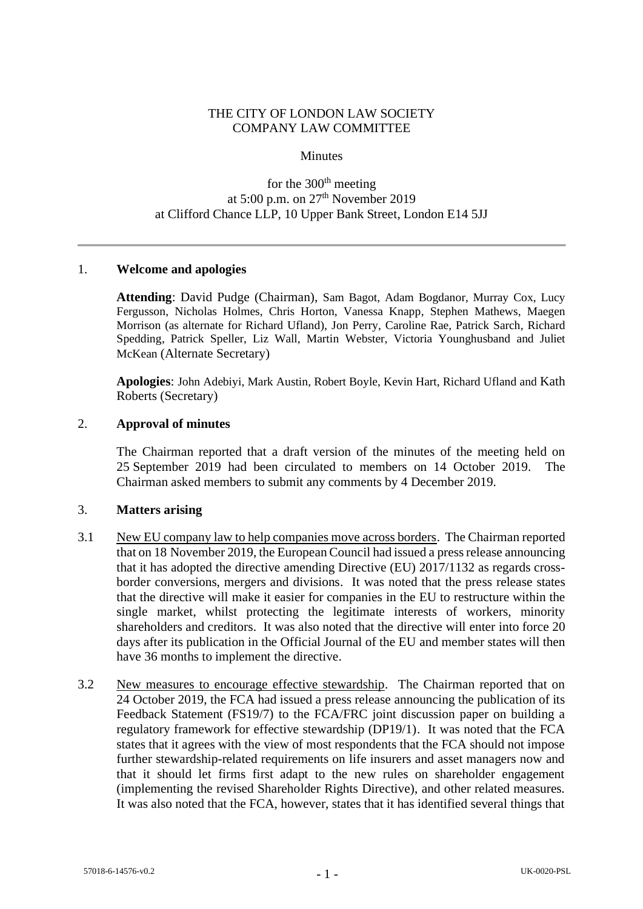# THE CITY OF LONDON LAW SOCIETY COMPANY LAW COMMITTEE

### **Minutes**

# for the  $300<sup>th</sup>$  meeting at 5:00 p.m. on 27th November 2019 at Clifford Chance LLP, 10 Upper Bank Street, London E14 5JJ

## 1. **Welcome and apologies**

**Attending**: David Pudge (Chairman), Sam Bagot, Adam Bogdanor, Murray Cox, Lucy Fergusson, Nicholas Holmes, Chris Horton, Vanessa Knapp, Stephen Mathews, Maegen Morrison (as alternate for Richard Ufland), Jon Perry, Caroline Rae, Patrick Sarch, Richard Spedding, Patrick Speller, Liz Wall, Martin Webster, Victoria Younghusband and Juliet McKean (Alternate Secretary)

**Apologies**: John Adebiyi, Mark Austin, Robert Boyle, Kevin Hart, Richard Ufland and Kath Roberts (Secretary)

## 2. **Approval of minutes**

The Chairman reported that a draft version of the minutes of the meeting held on 25 September 2019 had been circulated to members on 14 October 2019. The Chairman asked members to submit any comments by 4 December 2019.

#### 3. **Matters arising**

- 3.1 New EU company law to help companies move across borders. The Chairman reported that on 18 November 2019, the European Council had issued a press release announcing that it has adopted the directive amending Directive (EU) 2017/1132 as regards crossborder conversions, mergers and divisions. It was noted that the press release states that the directive will make it easier for companies in the EU to restructure within the single market, whilst protecting the legitimate interests of workers, minority shareholders and creditors. It was also noted that the directive will enter into force 20 days after its publication in the Official Journal of the EU and member states will then have 36 months to implement the directive.
- 3.2 New measures to encourage effective stewardship. The Chairman reported that on 24 October 2019, the FCA had issued a press release announcing the publication of its Feedback Statement (FS19/7) to the FCA/FRC joint discussion paper on building a regulatory framework for effective stewardship (DP19/1). It was noted that the FCA states that it agrees with the view of most respondents that the FCA should not impose further stewardship-related requirements on life insurers and asset managers now and that it should let firms first adapt to the new rules on shareholder engagement (implementing the revised Shareholder Rights Directive), and other related measures. It was also noted that the FCA, however, states that it has identified several things that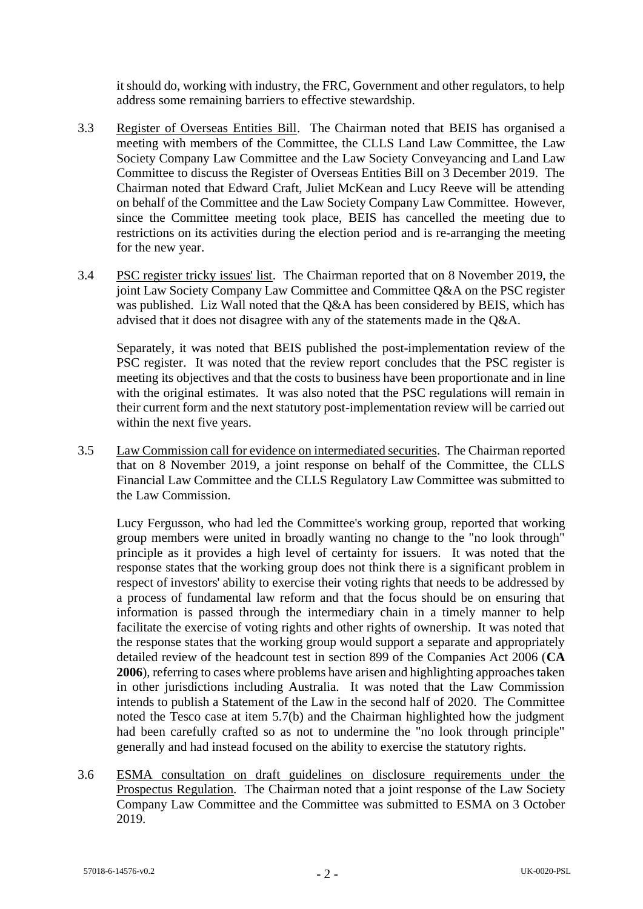it should do, working with industry, the FRC, Government and other regulators, to help address some remaining barriers to effective stewardship.

- 3.3 Register of Overseas Entities Bill. The Chairman noted that BEIS has organised a meeting with members of the Committee, the CLLS Land Law Committee, the Law Society Company Law Committee and the Law Society Conveyancing and Land Law Committee to discuss the Register of Overseas Entities Bill on 3 December 2019. The Chairman noted that Edward Craft, Juliet McKean and Lucy Reeve will be attending on behalf of the Committee and the Law Society Company Law Committee. However, since the Committee meeting took place, BEIS has cancelled the meeting due to restrictions on its activities during the election period and is re-arranging the meeting for the new year.
- 3.4 PSC register tricky issues' list. The Chairman reported that on 8 November 2019, the joint Law Society Company Law Committee and Committee Q&A on the PSC register was published. Liz Wall noted that the O&A has been considered by BEIS, which has advised that it does not disagree with any of the statements made in the Q&A.

Separately, it was noted that BEIS published the post-implementation review of the PSC register. It was noted that the review report concludes that the PSC register is meeting its objectives and that the costs to business have been proportionate and in line with the original estimates. It was also noted that the PSC regulations will remain in their current form and the next statutory post-implementation review will be carried out within the next five years.

3.5 Law Commission call for evidence on intermediated securities. The Chairman reported that on 8 November 2019, a joint response on behalf of the Committee, the CLLS Financial Law Committee and the CLLS Regulatory Law Committee was submitted to the Law Commission.

Lucy Fergusson, who had led the Committee's working group, reported that working group members were united in broadly wanting no change to the "no look through" principle as it provides a high level of certainty for issuers. It was noted that the response states that the working group does not think there is a significant problem in respect of investors' ability to exercise their voting rights that needs to be addressed by a process of fundamental law reform and that the focus should be on ensuring that information is passed through the intermediary chain in a timely manner to help facilitate the exercise of voting rights and other rights of ownership. It was noted that the response states that the working group would support a separate and appropriately detailed review of the headcount test in section 899 of the Companies Act 2006 (**CA 2006**), referring to cases where problems have arisen and highlighting approaches taken in other jurisdictions including Australia. It was noted that the Law Commission intends to publish a Statement of the Law in the second half of 2020. The Committee noted the Tesco case at item 5.7(b) and the Chairman highlighted how the judgment had been carefully crafted so as not to undermine the "no look through principle" generally and had instead focused on the ability to exercise the statutory rights.

3.6 ESMA consultation on draft guidelines on disclosure requirements under the Prospectus Regulation*.* The Chairman noted that a joint response of the Law Society Company Law Committee and the Committee was submitted to ESMA on 3 October 2019.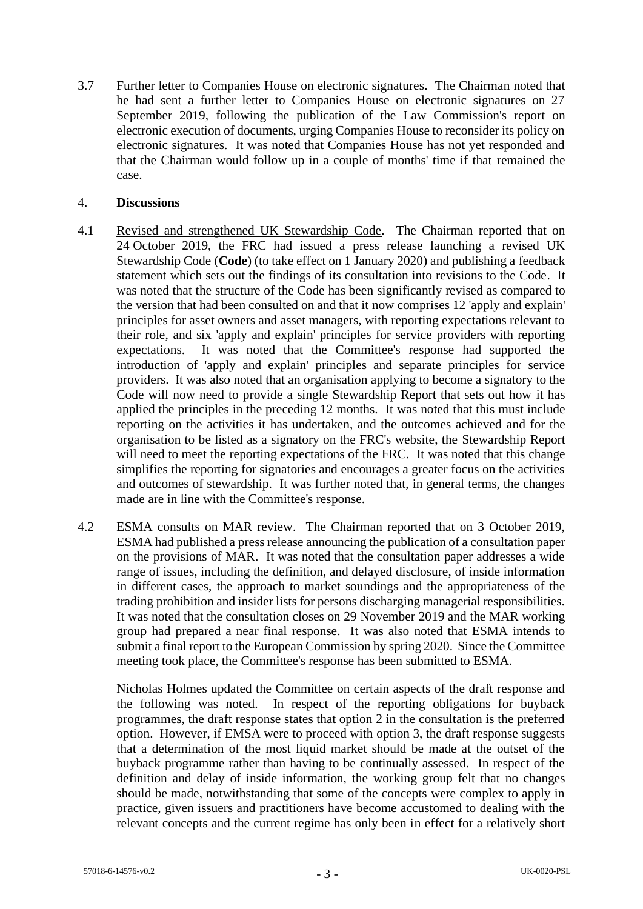3.7 Further letter to Companies House on electronic signatures*.* The Chairman noted that he had sent a further letter to Companies House on electronic signatures on 27 September 2019, following the publication of the Law Commission's report on electronic execution of documents, urging Companies House to reconsider its policy on electronic signatures. It was noted that Companies House has not yet responded and that the Chairman would follow up in a couple of months' time if that remained the case.

## 4. **Discussions**

- 4.1 Revised and strengthened UK Stewardship Code*.* The Chairman reported that on 24 October 2019, the FRC had issued a press release launching a revised UK Stewardship Code (**Code**) (to take effect on 1 January 2020) and publishing a feedback statement which sets out the findings of its consultation into revisions to the Code. It was noted that the structure of the Code has been significantly revised as compared to the version that had been consulted on and that it now comprises 12 'apply and explain' principles for asset owners and asset managers, with reporting expectations relevant to their role, and six 'apply and explain' principles for service providers with reporting expectations. It was noted that the Committee's response had supported the introduction of 'apply and explain' principles and separate principles for service providers. It was also noted that an organisation applying to become a signatory to the Code will now need to provide a single Stewardship Report that sets out how it has applied the principles in the preceding 12 months. It was noted that this must include reporting on the activities it has undertaken, and the outcomes achieved and for the organisation to be listed as a signatory on the FRC's website, the Stewardship Report will need to meet the reporting expectations of the FRC. It was noted that this change simplifies the reporting for signatories and encourages a greater focus on the activities and outcomes of stewardship. It was further noted that, in general terms, the changes made are in line with the Committee's response.
- 4.2 ESMA consults on MAR review. The Chairman reported that on 3 October 2019, ESMA had published a press release announcing the publication of a consultation paper on the provisions of MAR. It was noted that the consultation paper addresses a wide range of issues, including the definition, and delayed disclosure, of inside information in different cases, the approach to market soundings and the appropriateness of the trading prohibition and insider lists for persons discharging managerial responsibilities. It was noted that the consultation closes on 29 November 2019 and the MAR working group had prepared a near final response. It was also noted that ESMA intends to submit a final report to the European Commission by spring 2020. Since the Committee meeting took place, the Committee's response has been submitted to ESMA.

Nicholas Holmes updated the Committee on certain aspects of the draft response and the following was noted. In respect of the reporting obligations for buyback programmes, the draft response states that option 2 in the consultation is the preferred option. However, if EMSA were to proceed with option 3, the draft response suggests that a determination of the most liquid market should be made at the outset of the buyback programme rather than having to be continually assessed. In respect of the definition and delay of inside information, the working group felt that no changes should be made, notwithstanding that some of the concepts were complex to apply in practice, given issuers and practitioners have become accustomed to dealing with the relevant concepts and the current regime has only been in effect for a relatively short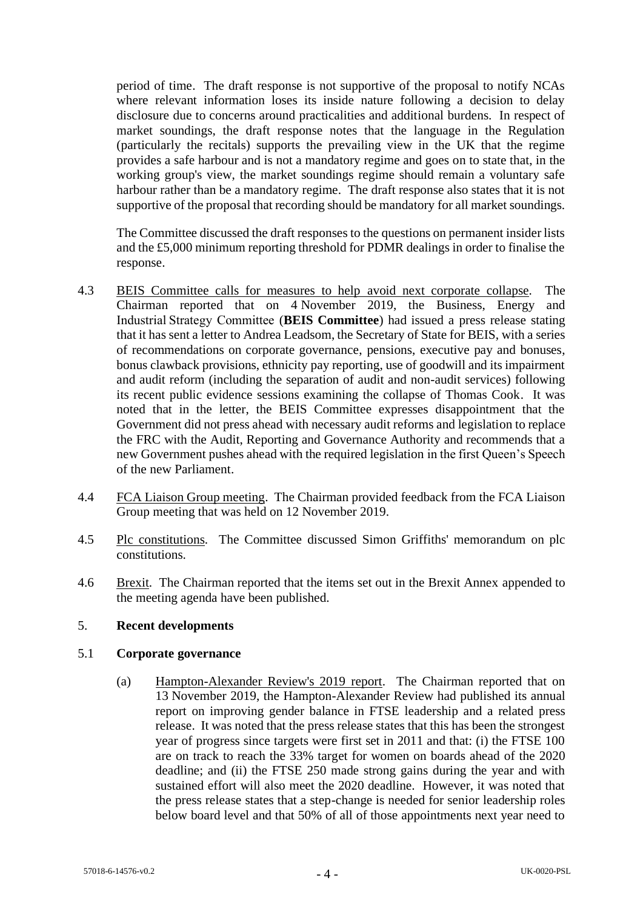period of time. The draft response is not supportive of the proposal to notify NCAs where relevant information loses its inside nature following a decision to delay disclosure due to concerns around practicalities and additional burdens. In respect of market soundings, the draft response notes that the language in the Regulation (particularly the recitals) supports the prevailing view in the UK that the regime provides a safe harbour and is not a mandatory regime and goes on to state that, in the working group's view, the market soundings regime should remain a voluntary safe harbour rather than be a mandatory regime. The draft response also states that it is not supportive of the proposal that recording should be mandatory for all market soundings.

The Committee discussed the draft responses to the questions on permanent insider lists and the £5,000 minimum reporting threshold for PDMR dealings in order to finalise the response.

- 4.3 BEIS Committee calls for measures to help avoid next corporate collapse*.* The Chairman reported that on 4 November 2019, the Business, Energy and Industrial Strategy Committee (**BEIS Committee**) had issued a press release stating that it has sent a letter to Andrea Leadsom, the Secretary of State for BEIS, with a series of recommendations on corporate governance, pensions, executive pay and bonuses, bonus clawback provisions, ethnicity pay reporting, use of goodwill and its impairment and audit reform (including the separation of audit and non-audit services) following its recent public evidence sessions examining the collapse of Thomas Cook. It was noted that in the letter, the BEIS Committee expresses disappointment that the Government did not press ahead with necessary audit reforms and legislation to replace the FRC with the Audit, Reporting and Governance Authority and recommends that a new Government pushes ahead with the required legislation in the first Queen's Speech of the new Parliament.
- 4.4 FCA Liaison Group meeting. The Chairman provided feedback from the FCA Liaison Group meeting that was held on 12 November 2019.
- 4.5 Plc constitutions*.* The Committee discussed Simon Griffiths' memorandum on plc constitutions.
- 4.6 Brexit*.* The Chairman reported that the items set out in the Brexit Annex appended to the meeting agenda have been published.

## 5. **Recent developments**

#### 5.1 **Corporate governance**

(a) Hampton-Alexander Review's 2019 report. The Chairman reported that on 13 November 2019, the Hampton-Alexander Review had published its annual report on improving gender balance in FTSE leadership and a related press release. It was noted that the press release states that this has been the strongest year of progress since targets were first set in 2011 and that: (i) the FTSE 100 are on track to reach the 33% target for women on boards ahead of the 2020 deadline; and (ii) the FTSE 250 made strong gains during the year and with sustained effort will also meet the 2020 deadline. However, it was noted that the press release states that a step-change is needed for senior leadership roles below board level and that 50% of all of those appointments next year need to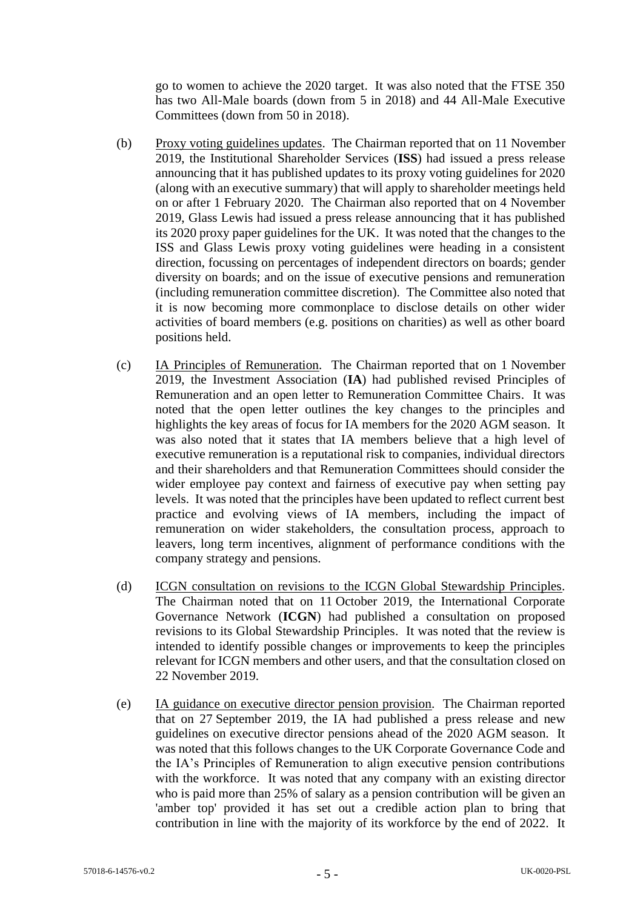go to women to achieve the 2020 target. It was also noted that the FTSE 350 has two All-Male boards (down from 5 in 2018) and 44 All-Male Executive Committees (down from 50 in 2018).

- (b) Proxy voting guidelines updates. The Chairman reported that on 11 November 2019, the Institutional Shareholder Services (**ISS**) had issued a press release announcing that it has published updates to its proxy voting guidelines for 2020 (along with an executive summary) that will apply to shareholder meetings held on or after 1 February 2020. The Chairman also reported that on 4 November 2019, Glass Lewis had issued a press release announcing that it has published its 2020 proxy paper guidelines for the UK. It was noted that the changes to the ISS and Glass Lewis proxy voting guidelines were heading in a consistent direction, focussing on percentages of independent directors on boards; gender diversity on boards; and on the issue of executive pensions and remuneration (including remuneration committee discretion). The Committee also noted that it is now becoming more commonplace to disclose details on other wider activities of board members (e.g. positions on charities) as well as other board positions held.
- (c) IA Principles of Remuneration*.* The Chairman reported that on 1 November 2019, the Investment Association (**IA**) had published revised Principles of Remuneration and an open letter to Remuneration Committee Chairs. It was noted that the open letter outlines the key changes to the principles and highlights the key areas of focus for IA members for the 2020 AGM season. It was also noted that it states that IA members believe that a high level of executive remuneration is a reputational risk to companies, individual directors and their shareholders and that Remuneration Committees should consider the wider employee pay context and fairness of executive pay when setting pay levels. It was noted that the principles have been updated to reflect current best practice and evolving views of IA members, including the impact of remuneration on wider stakeholders, the consultation process, approach to leavers, long term incentives, alignment of performance conditions with the company strategy and pensions.
- (d) ICGN consultation on revisions to the ICGN Global Stewardship Principles*.*  The Chairman noted that on 11 October 2019, the International Corporate Governance Network (**ICGN**) had published a consultation on proposed revisions to its Global Stewardship Principles. It was noted that the review is intended to identify possible changes or improvements to keep the principles relevant for ICGN members and other users, and that the consultation closed on 22 November 2019.
- (e) IA guidance on executive director pension provision*.* The Chairman reported that on 27 September 2019, the IA had published a press release and new guidelines on executive director pensions ahead of the 2020 AGM season. It was noted that this follows changes to the UK Corporate Governance Code and the IA's Principles of Remuneration to align executive pension contributions with the workforce. It was noted that any company with an existing director who is paid more than 25% of salary as a pension contribution will be given an 'amber top' provided it has set out a credible action plan to bring that contribution in line with the majority of its workforce by the end of 2022. It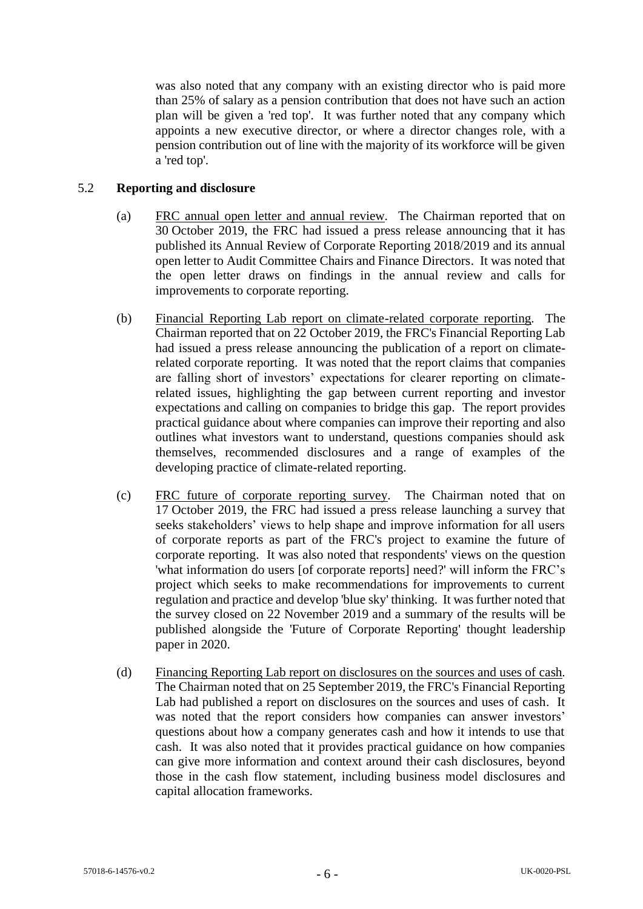was also noted that any company with an existing director who is paid more than 25% of salary as a pension contribution that does not have such an action plan will be given a 'red top'. It was further noted that any company which appoints a new executive director, or where a director changes role, with a pension contribution out of line with the majority of its workforce will be given a 'red top'.

# 5.2 **Reporting and disclosure**

- (a) FRC annual open letter and annual review*.* The Chairman reported that on 30 October 2019, the FRC had issued a press release announcing that it has published its Annual Review of Corporate Reporting 2018/2019 and its annual open letter to Audit Committee Chairs and Finance Directors. It was noted that the open letter draws on findings in the annual review and calls for improvements to corporate reporting.
- (b) Financial Reporting Lab report on climate-related corporate reporting*.* The Chairman reported that on 22 October 2019, the FRC's Financial Reporting Lab had issued a press release announcing the publication of a report on climaterelated corporate reporting. It was noted that the report claims that companies are falling short of investors' expectations for clearer reporting on climaterelated issues, highlighting the gap between current reporting and investor expectations and calling on companies to bridge this gap. The report provides practical guidance about where companies can improve their reporting and also outlines what investors want to understand, questions companies should ask themselves, recommended disclosures and a range of examples of the developing practice of climate-related reporting.
- (c) FRC future of corporate reporting survey*.* The Chairman noted that on 17 October 2019, the FRC had issued a press release launching a survey that seeks stakeholders' views to help shape and improve information for all users of corporate reports as part of the FRC's project to examine the future of corporate reporting. It was also noted that respondents' views on the question 'what information do users [of corporate reports] need?' will inform the FRC's project which seeks to make recommendations for improvements to current regulation and practice and develop 'blue sky' thinking. It was further noted that the survey closed on 22 November 2019 and a summary of the results will be published alongside the 'Future of Corporate Reporting' thought leadership paper in 2020.
- (d) Financing Reporting Lab report on disclosures on the sources and uses of cash*.*  The Chairman noted that on 25 September 2019, the FRC's Financial Reporting Lab had published a report on disclosures on the sources and uses of cash. It was noted that the report considers how companies can answer investors' questions about how a company generates cash and how it intends to use that cash. It was also noted that it provides practical guidance on how companies can give more information and context around their cash disclosures, beyond those in the cash flow statement, including business model disclosures and capital allocation frameworks.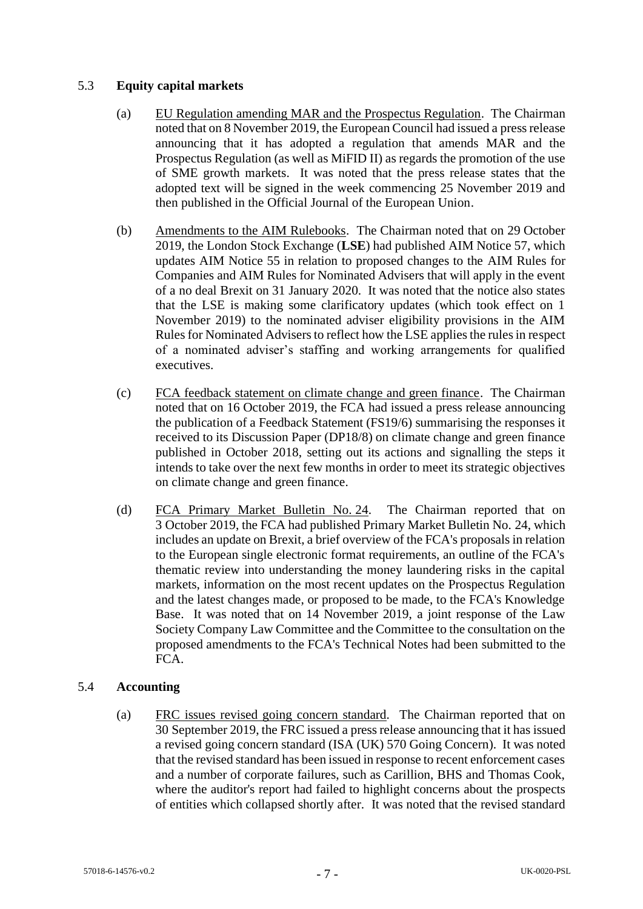# 5.3 **Equity capital markets**

- (a) EU Regulation amending MAR and the Prospectus Regulation. The Chairman noted that on 8 November 2019, the European Council had issued a press release announcing that it has adopted a regulation that amends MAR and the Prospectus Regulation (as well as MiFID II) as regards the promotion of the use of SME growth markets. It was noted that the press release states that the adopted text will be signed in the week commencing 25 November 2019 and then published in the Official Journal of the European Union.
- (b) Amendments to the AIM Rulebooks. The Chairman noted that on 29 October 2019, the London Stock Exchange (**LSE**) had published AIM Notice 57, which updates AIM Notice 55 in relation to proposed changes to the AIM Rules for Companies and AIM Rules for Nominated Advisers that will apply in the event of a no deal Brexit on 31 January 2020. It was noted that the notice also states that the LSE is making some clarificatory updates (which took effect on 1 November 2019) to the nominated adviser eligibility provisions in the AIM Rules for Nominated Advisers to reflect how the LSE applies the rules in respect of a nominated adviser's staffing and working arrangements for qualified executives.
- (c) FCA feedback statement on climate change and green finance. The Chairman noted that on 16 October 2019, the FCA had issued a press release announcing the publication of a Feedback Statement (FS19/6) summarising the responses it received to its Discussion Paper (DP18/8) on climate change and green finance published in October 2018, setting out its actions and signalling the steps it intends to take over the next few months in order to meet its strategic objectives on climate change and green finance.
- (d) FCA Primary Market Bulletin No. 24. The Chairman reported that on 3 October 2019, the FCA had published Primary Market Bulletin No. 24, which includes an update on Brexit, a brief overview of the FCA's proposals in relation to the European single electronic format requirements, an outline of the FCA's thematic review into understanding the money laundering risks in the capital markets, information on the most recent updates on the Prospectus Regulation and the latest changes made, or proposed to be made, to the FCA's Knowledge Base. It was noted that on 14 November 2019, a joint response of the Law Society Company Law Committee and the Committee to the consultation on the proposed amendments to the FCA's Technical Notes had been submitted to the FCA.

# 5.4 **Accounting**

(a) FRC issues revised going concern standard*.* The Chairman reported that on 30 September 2019, the FRC issued a press release announcing that it has issued a revised going concern standard (ISA (UK) 570 Going Concern). It was noted that the revised standard has been issued in response to recent enforcement cases and a number of corporate failures, such as Carillion, BHS and Thomas Cook, where the auditor's report had failed to highlight concerns about the prospects of entities which collapsed shortly after. It was noted that the revised standard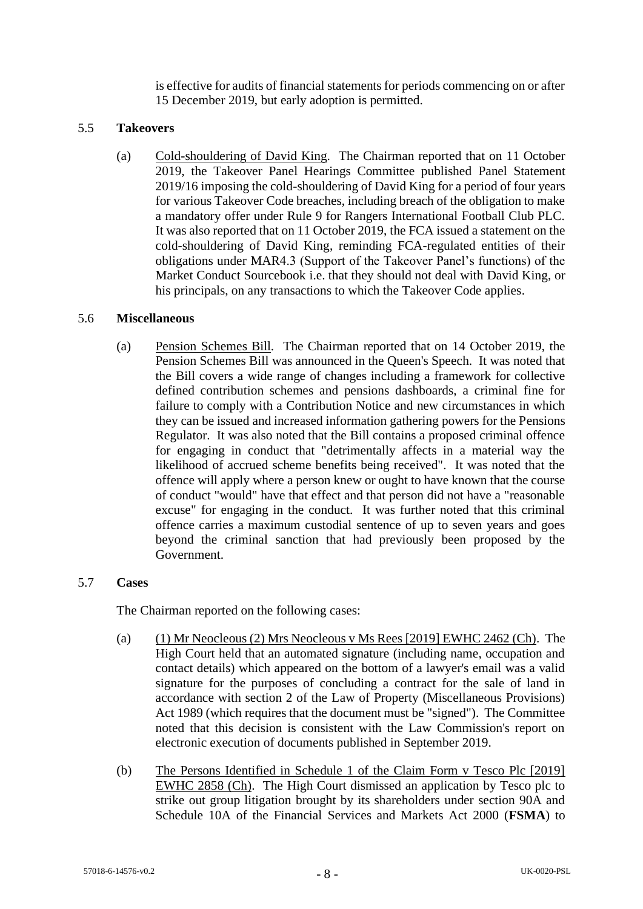is effective for audits of financial statements for periods commencing on or after 15 December 2019, but early adoption is permitted.

## 5.5 **Takeovers**

(a) Cold-shouldering of David King*.* The Chairman reported that on 11 October 2019, the Takeover Panel Hearings Committee published Panel Statement 2019/16 imposing the cold-shouldering of David King for a period of four years for various Takeover Code breaches, including breach of the obligation to make a mandatory offer under Rule 9 for Rangers International Football Club PLC. It was also reported that on 11 October 2019, the FCA issued a statement on the cold-shouldering of David King, reminding FCA-regulated entities of their obligations under MAR4.3 (Support of the Takeover Panel's functions) of the Market Conduct Sourcebook i.e. that they should not deal with David King, or his principals, on any transactions to which the Takeover Code applies.

# 5.6 **Miscellaneous**

(a) Pension Schemes Bill*.* The Chairman reported that on 14 October 2019, the Pension Schemes Bill was announced in the Queen's Speech. It was noted that the Bill covers a wide range of changes including a framework for collective defined contribution schemes and pensions dashboards, a criminal fine for failure to comply with a Contribution Notice and new circumstances in which they can be issued and increased information gathering powers for the Pensions Regulator. It was also noted that the Bill contains a proposed criminal offence for engaging in conduct that "detrimentally affects in a material way the likelihood of accrued scheme benefits being received". It was noted that the offence will apply where a person knew or ought to have known that the course of conduct "would" have that effect and that person did not have a "reasonable excuse" for engaging in the conduct. It was further noted that this criminal offence carries a maximum custodial sentence of up to seven years and goes beyond the criminal sanction that had previously been proposed by the Government.

## 5.7 **Cases**

The Chairman reported on the following cases:

- (a) (1) Mr Neocleous (2) Mrs Neocleous v Ms Rees [2019] EWHC 2462 (Ch). The High Court held that an automated signature (including name, occupation and contact details) which appeared on the bottom of a lawyer's email was a valid signature for the purposes of concluding a contract for the sale of land in accordance with section 2 of the Law of Property (Miscellaneous Provisions) Act 1989 (which requires that the document must be "signed"). The Committee noted that this decision is consistent with the Law Commission's report on electronic execution of documents published in September 2019.
- (b) The Persons Identified in Schedule 1 of the Claim Form v Tesco Plc [2019] EWHC 2858 (Ch). The High Court dismissed an application by Tesco plc to strike out group litigation brought by its shareholders under section 90A and Schedule 10A of the Financial Services and Markets Act 2000 (**FSMA**) to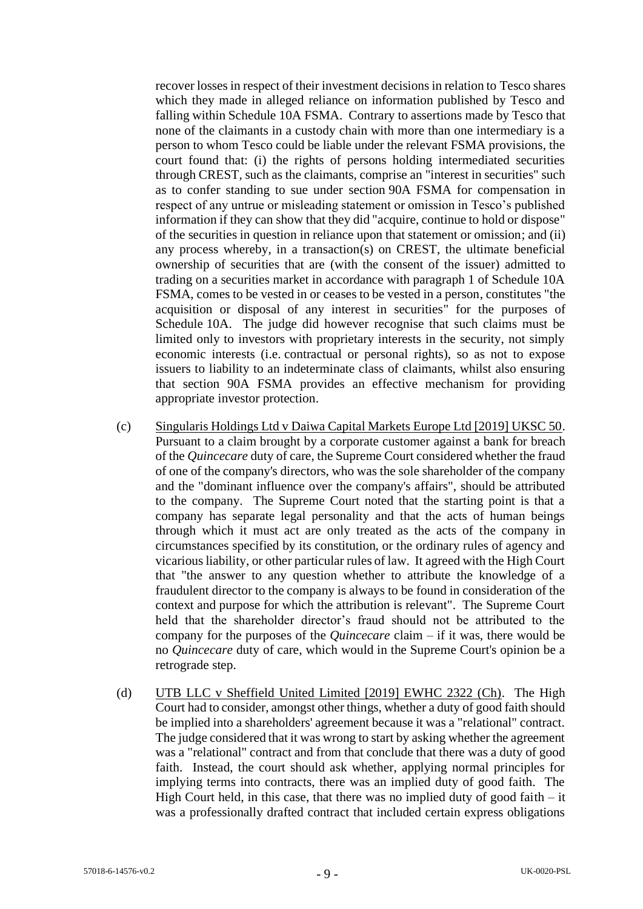recover losses in respect of their investment decisions in relation to Tesco shares which they made in alleged reliance on information published by Tesco and falling within Schedule 10A FSMA. Contrary to assertions made by Tesco that none of the claimants in a custody chain with more than one intermediary is a person to whom Tesco could be liable under the relevant FSMA provisions, the court found that: (i) the rights of persons holding intermediated securities through CREST, such as the claimants, comprise an "interest in securities" such as to confer standing to sue under section 90A FSMA for compensation in respect of any untrue or misleading statement or omission in Tesco's published information if they can show that they did "acquire, continue to hold or dispose" of the securities in question in reliance upon that statement or omission; and (ii) any process whereby, in a transaction(s) on CREST, the ultimate beneficial ownership of securities that are (with the consent of the issuer) admitted to trading on a securities market in accordance with paragraph 1 of Schedule 10A FSMA, comes to be vested in or ceases to be vested in a person, constitutes "the acquisition or disposal of any interest in securities" for the purposes of Schedule 10A. The judge did however recognise that such claims must be limited only to investors with proprietary interests in the security, not simply economic interests (i.e. contractual or personal rights), so as not to expose issuers to liability to an indeterminate class of claimants, whilst also ensuring that section 90A FSMA provides an effective mechanism for providing appropriate investor protection.

- (c) Singularis Holdings Ltd v Daiwa Capital Markets Europe Ltd [2019] UKSC 50. Pursuant to a claim brought by a corporate customer against a bank for breach of the *Quincecare* duty of care, the Supreme Court considered whether the fraud of one of the company's directors, who was the sole shareholder of the company and the "dominant influence over the company's affairs", should be attributed to the company. The Supreme Court noted that the starting point is that a company has separate legal personality and that the acts of human beings through which it must act are only treated as the acts of the company in circumstances specified by its constitution, or the ordinary rules of agency and vicarious liability, or other particular rules of law. It agreed with the High Court that "the answer to any question whether to attribute the knowledge of a fraudulent director to the company is always to be found in consideration of the context and purpose for which the attribution is relevant". The Supreme Court held that the shareholder director's fraud should not be attributed to the company for the purposes of the *Quincecare* claim – if it was, there would be no *Quincecare* duty of care, which would in the Supreme Court's opinion be a retrograde step.
- (d) UTB LLC v Sheffield United Limited [2019] EWHC 2322 (Ch). The High Court had to consider, amongst other things, whether a duty of good faith should be implied into a shareholders' agreement because it was a "relational" contract. The judge considered that it was wrong to start by asking whether the agreement was a "relational" contract and from that conclude that there was a duty of good faith. Instead, the court should ask whether, applying normal principles for implying terms into contracts, there was an implied duty of good faith. The High Court held, in this case, that there was no implied duty of good faith  $-$  it was a professionally drafted contract that included certain express obligations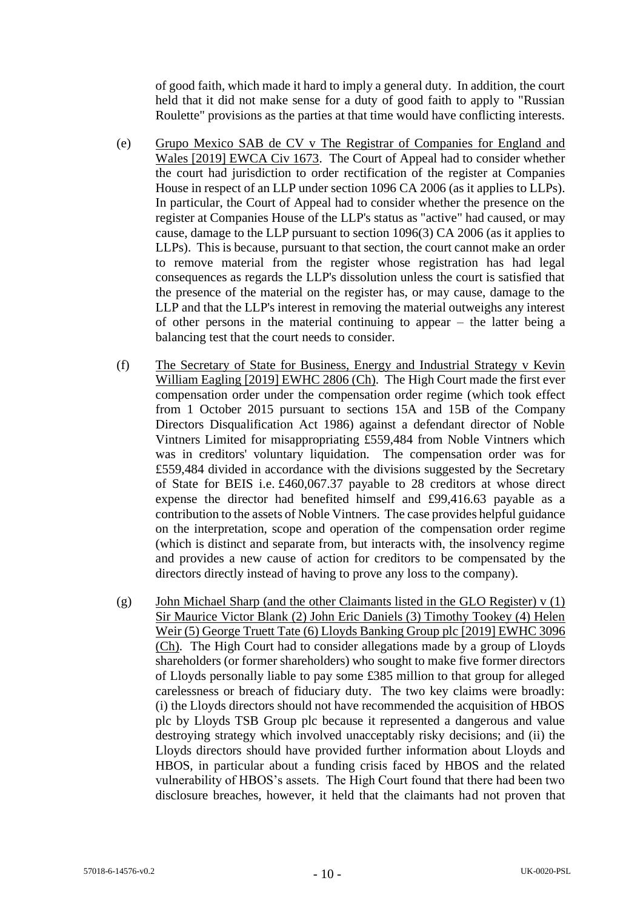of good faith, which made it hard to imply a general duty. In addition, the court held that it did not make sense for a duty of good faith to apply to "Russian Roulette" provisions as the parties at that time would have conflicting interests.

- (e) Grupo Mexico SAB de CV v The Registrar of Companies for England and Wales [2019] EWCA Civ 1673. The Court of Appeal had to consider whether the court had jurisdiction to order rectification of the register at Companies House in respect of an LLP under section 1096 CA 2006 (as it applies to LLPs). In particular, the Court of Appeal had to consider whether the presence on the register at Companies House of the LLP's status as "active" had caused, or may cause, damage to the LLP pursuant to section 1096(3) CA 2006 (as it applies to LLPs). This is because, pursuant to that section, the court cannot make an order to remove material from the register whose registration has had legal consequences as regards the LLP's dissolution unless the court is satisfied that the presence of the material on the register has, or may cause, damage to the LLP and that the LLP's interest in removing the material outweighs any interest of other persons in the material continuing to appear – the latter being a balancing test that the court needs to consider.
- (f) The Secretary of State for Business, Energy and Industrial Strategy v Kevin William Eagling [2019] EWHC 2806 (Ch). The High Court made the first ever compensation order under the compensation order regime (which took effect from 1 October 2015 pursuant to sections 15A and 15B of the Company Directors Disqualification Act 1986) against a defendant director of Noble Vintners Limited for misappropriating £559,484 from Noble Vintners which was in creditors' voluntary liquidation. The compensation order was for £559,484 divided in accordance with the divisions suggested by the Secretary of State for BEIS i.e. £460,067.37 payable to 28 creditors at whose direct expense the director had benefited himself and £99,416.63 payable as a contribution to the assets of Noble Vintners. The case provides helpful guidance on the interpretation, scope and operation of the compensation order regime (which is distinct and separate from, but interacts with, the insolvency regime and provides a new cause of action for creditors to be compensated by the directors directly instead of having to prove any loss to the company).
- (g) John Michael Sharp (and the other Claimants listed in the GLO Register) v (1) Sir Maurice Victor Blank (2) John Eric Daniels (3) Timothy Tookey (4) Helen Weir (5) George Truett Tate (6) Lloyds Banking Group plc [2019] EWHC 3096 (Ch). The High Court had to consider allegations made by a group of Lloyds shareholders (or former shareholders) who sought to make five former directors of Lloyds personally liable to pay some £385 million to that group for alleged carelessness or breach of fiduciary duty. The two key claims were broadly: (i) the Lloyds directors should not have recommended the acquisition of HBOS plc by Lloyds TSB Group plc because it represented a dangerous and value destroying strategy which involved unacceptably risky decisions; and (ii) the Lloyds directors should have provided further information about Lloyds and HBOS, in particular about a funding crisis faced by HBOS and the related vulnerability of HBOS's assets. The High Court found that there had been two disclosure breaches, however, it held that the claimants had not proven that